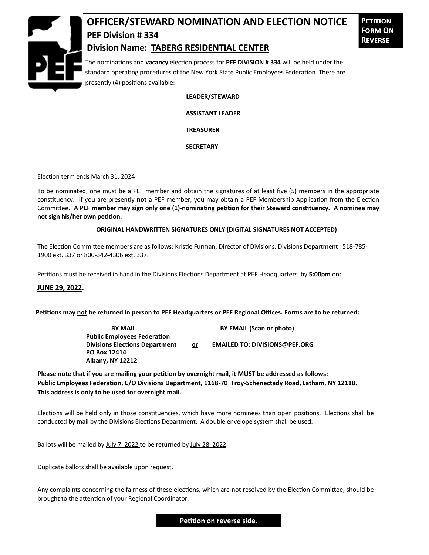

## **OFFICER/STEWARD NOMINATION AND ELECTION NOTICE PEF Division # 334**

**Petition Form On Reverse**

## **Division Name: TABERG RESIDENTIAL CENTER**

The nominations and **vacancy** election process for **PEF DIVISION # 334** will be held under the standard operating procedures of the New York State Public Employees Federation. There are presently (4) positions available:

**LEADER/STEWARD**

 **ASSISTANT LEADER**

 **TREASURER**

 **SECRETARY**

Election term ends March 31, 2024

To be nominated, one must be a PEF member and obtain the signatures of at least five (5) members in the appropriate constituency. If you are presently **not** a PEF member, you may obtain a PEF Membership Application from the Election Committee. **A PEF member may sign only one (1)-nominating petition for their Steward constituency. A nominee may not sign his/her own petition.**

## **ORIGINAL HANDWRITTEN SIGNATURES ONLY (DIGITAL SIGNATURES NOT ACCEPTED)**

The Election Committee members are as follows: Kristie Furman, Director of Divisions. Divisions Department 518-785- 1900 ext. 337 or 800-342-4306 ext. 337.

Petitions must be received in hand in the Divisions Elections Department at PEF Headquarters, by **5:00pm** on:

**JUNE 29, 2022.**

**Petitions may not be returned in person to PEF Headquarters or PEF Regional Offices. Forms are to be returned:**

**Public Employees Federation PO Box 12414 Albany, NY 12212**

**BY MAIL BY EMAIL (Scan or photo)** 

Divisions Elections Department or **EMAILED TO: DIVISIONS@PEF.ORG** 

**Please note that if you are mailing your petition by overnight mail, it MUST be addressed as follows: Public Employees Federation, C/O Divisions Department, 1168-70 Troy-Schenectady Road, Latham, NY 12110. This address is only to be used for overnight mail.**

Elections will be held only in those constituencies, which have more nominees than open positions. Elections shall be conducted by mail by the Divisions Elections Department. A double envelope system shall be used.

Ballots will be mailed by July 7, 2022 to be returned by July 28, 2022.

Duplicate ballots shall be available upon request.

Any complaints concerning the fairness of these elections, which are not resolved by the Election Committee, should be brought to the attention of your Regional Coordinator.

**Petition on reverse side.**